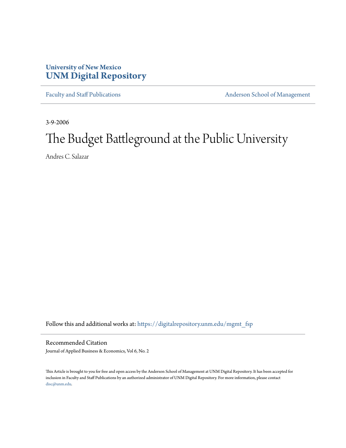# **University of New Mexico [UNM Digital Repository](https://digitalrepository.unm.edu?utm_source=digitalrepository.unm.edu%2Fmgmt_fsp%2F9&utm_medium=PDF&utm_campaign=PDFCoverPages)**

[Faculty and Staff Publications](https://digitalrepository.unm.edu/mgmt_fsp?utm_source=digitalrepository.unm.edu%2Fmgmt_fsp%2F9&utm_medium=PDF&utm_campaign=PDFCoverPages) **[Anderson School of Management](https://digitalrepository.unm.edu/mgmt?utm_source=digitalrepository.unm.edu%2Fmgmt_fsp%2F9&utm_medium=PDF&utm_campaign=PDFCoverPages)** 

3-9-2006

# The Budget Battleground at the Public University

Andres C. Salazar

Follow this and additional works at: [https://digitalrepository.unm.edu/mgmt\\_fsp](https://digitalrepository.unm.edu/mgmt_fsp?utm_source=digitalrepository.unm.edu%2Fmgmt_fsp%2F9&utm_medium=PDF&utm_campaign=PDFCoverPages)

Recommended Citation

Journal of Applied Business & Economics, Vol 6, No. 2

This Article is brought to you for free and open access by the Anderson School of Management at UNM Digital Repository. It has been accepted for inclusion in Faculty and Staff Publications by an authorized administrator of UNM Digital Repository. For more information, please contact [disc@unm.edu](mailto:disc@unm.edu).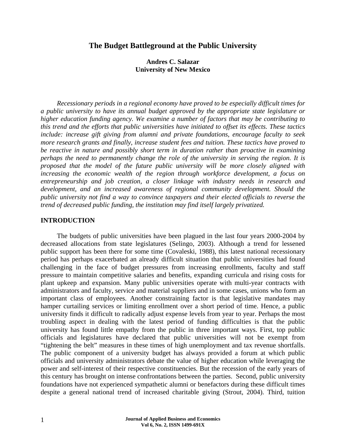## **The Budget Battleground at the Public University**

#### **Andres C. Salazar University of New Mexico**

*Recessionary periods in a regional economy have proved to be especially difficult times for a public university to have its annual budget approved by the appropriate state legislature or higher education funding agency. We examine a number of factors that may be contributing to this trend and the efforts that public universities have initiated to offset its effects. These tactics include: increase gift giving from alumni and private foundations, encourage faculty to seek more research grants and finally, increase student fees and tuition. These tactics have proved to be reactive in nature and possibly short term in duration rather than proactive in examining perhaps the need to permanently change the role of the university in serving the region. It is proposed that the model of the future public university will be more closely aligned with increasing the economic wealth of the region through workforce development, a focus on entrepreneurship and job creation, a closer linkage with industry needs in research and development, and an increased awareness of regional community development. Should the public university not find a way to convince taxpayers and their elected officials to reverse the trend of decreased public funding, the institution may find itself largely privatized.* 

#### **INTRODUCTION**

The budgets of public universities have been plagued in the last four years 2000-2004 by decreased allocations from state legislatures (Selingo, 2003). Although a trend for lessened public support has been there for some time (Covaleski, 1988), this latest national recessionary period has perhaps exacerbated an already difficult situation that public universities had found challenging in the face of budget pressures from increasing enrollments, faculty and staff pressure to maintain competitive salaries and benefits, expanding curricula and rising costs for plant upkeep and expansion. Many public universities operate with multi-year contracts with administrators and faculty, service and material suppliers and in some cases, unions who form an important class of employees. Another constraining factor is that legislative mandates may hamper curtailing services or limiting enrollment over a short period of time. Hence, a public university finds it difficult to radically adjust expense levels from year to year. Perhaps the most troubling aspect in dealing with the latest period of funding difficulties is that the public university has found little empathy from the public in three important ways. First, top public officials and legislatures have declared that public universities will not be exempt from "tightening the belt" measures in these times of high unemployment and tax revenue shortfalls. The public component of a university budget has always provided a forum at which public officials and university administrators debate the value of higher education while leveraging the power and self-interest of their respective constituencies. But the recession of the early years of this century has brought on intense confrontations between the parties. Second, public university foundations have not experienced sympathetic alumni or benefactors during these difficult times despite a general national trend of increased charitable giving (Strout, 2004). Third, tuition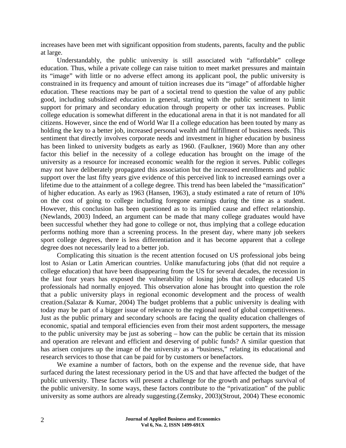increases have been met with significant opposition from students, parents, faculty and the public at large.

Understandably, the public university is still associated with "affordable" college education. Thus, while a private college can raise tuition to meet market pressures and maintain its "image" with little or no adverse effect among its applicant pool, the public university is constrained in its frequency and amount of tuition increases due its "image" of affordable higher education. These reactions may be part of a societal trend to question the value of any public good, including subsidized education in general, starting with the public sentiment to limit support for primary and secondary education through property or other tax increases. Public college education is somewhat different in the educational arena in that it is not mandated for all citizens. However, since the end of World War II a college education has been touted by many as holding the key to a better job, increased personal wealth and fulfillment of business needs. This sentiment that directly involves corporate needs and investment in higher education by business has been linked to university budgets as early as 1960. (Faulkner, 1960) More than any other factor this belief in the necessity of a college education has brought on the image of the university as a resource for increased economic wealth for the region it serves. Public colleges may not have deliberately propagated this association but the increased enrollments and public support over the last fifty years give evidence of this perceived link to increased earnings over a lifetime due to the attainment of a college degree. This trend has been labeled the "massification" of higher education. As early as 1963 (Hansen, 1963), a study estimated a rate of return of 10% on the cost of going to college including foregone earnings during the time as a student. However, this conclusion has been questioned as to its implied cause and effect relationship. (Newlands, 2003) Indeed, an argument can be made that many college graduates would have been successful whether they had gone to college or not, thus implying that a college education performs nothing more than a screening process. In the present day, where many job seekers sport college degrees, there is less differentiation and it has become apparent that a college degree does not necessarily lead to a better job.

Complicating this situation is the recent attention focused on US professional jobs being lost to Asian or Latin American countries. Unlike manufacturing jobs (that did not require a college education) that have been disappearing from the US for several decades, the recession in the last four years has exposed the vulnerability of losing jobs that college educated US professionals had normally enjoyed. This observation alone has brought into question the role that a public university plays in regional economic development and the process of wealth creation.(Salazar & Kumar, 2004) The budget problems that a public university is dealing with today may be part of a bigger issue of relevance to the regional need of global competitiveness. Just as the public primary and secondary schools are facing the quality education challenges of economic, spatial and temporal efficiencies even from their most ardent supporters, the message to the public university may be just as sobering – how can the public be certain that its mission and operation are relevant and efficient and deserving of public funds? A similar question that has arisen conjures up the image of the university as a "business," relating its educational and research services to those that can be paid for by customers or benefactors.

We examine a number of factors, both on the expense and the revenue side, that have surfaced during the latest recessionary period in the US and that have affected the budget of the public university. These factors will present a challenge for the growth and perhaps survival of the public university. In some ways, these factors contribute to the "privatization" of the public university as some authors are already suggesting.(Zemsky, 2003)(Strout, 2004) These economic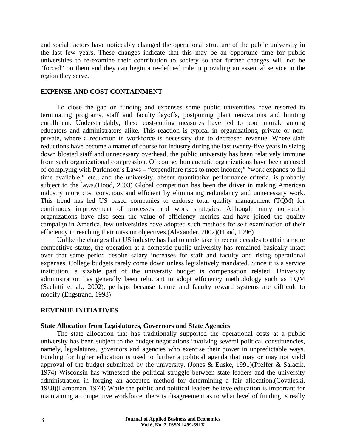and social factors have noticeably changed the operational structure of the public university in the last few years. These changes indicate that this may be an opportune time for public universities to re-examine their contribution to society so that further changes will not be "forced" on them and they can begin a re-defined role in providing an essential service in the region they serve.

#### **EXPENSE AND COST CONTAINMENT**

To close the gap on funding and expenses some public universities have resorted to terminating programs, staff and faculty layoffs, postponing plant renovations and limiting enrollment. Understandably, these cost-cutting measures have led to poor morale among educators and administrators alike. This reaction is typical in organizations, private or nonprivate, where a reduction in workforce is necessary due to decreased revenue. Where staff reductions have become a matter of course for industry during the last twenty-five years in sizing down bloated staff and unnecessary overhead, the public university has been relatively immune from such organizational compression. Of course, bureaucratic organizations have been accused of complying with Parkinson's Laws – "expenditure rises to meet income;" "work expands to fill time available," etc., and the university, absent quantitative performance criteria, is probably subject to the laws.(Hood, 2003) Global competition has been the driver in making American industry more cost conscious and efficient by eliminating redundancy and unnecessary work. This trend has led US based companies to endorse total quality management (TQM) for continuous improvement of processes and work strategies. Although many non-profit organizations have also seen the value of efficiency metrics and have joined the quality campaign in America, few universities have adopted such methods for self examination of their efficiency in reaching their mission objectives.(Alexander, 2002)(Hood, 1996)

Unlike the changes that US industry has had to undertake in recent decades to attain a more competitive status, the operation at a domestic public university has remained basically intact over that same period despite salary increases for staff and faculty and rising operational expenses. College budgets rarely come down unless legislatively mandated. Since it is a service institution, a sizable part of the university budget is compensation related. University administration has generally been reluctant to adopt efficiency methodology such as TQM (Sachitti et al., 2002), perhaps because tenure and faculty reward systems are difficult to modify.(Engstrand, 1998)

#### **REVENUE INITIATIVES**

#### **State Allocation from Legislatures, Governors and State Agencies**

The state allocation that has traditionally supported the operational costs at a public university has been subject to the budget negotiations involving several political constituencies, namely, legislatures, governors and agencies who exercise their power in unpredictable ways. Funding for higher education is used to further a political agenda that may or may not yield approval of the budget submitted by the university. (Jones & Euske, 1991)(Pfeffer & Salacik, 1974) Wisconsin has witnessed the political struggle between state leaders and the university administration in forging an accepted method for determining a fair allocation.(Covaleski, 1988)(Lampman, 1974) While the public and political leaders believe education is important for maintaining a competitive workforce, there is disagreement as to what level of funding is really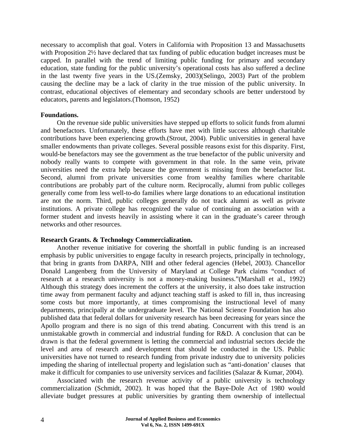necessary to accomplish that goal. Voters in California with Proposition 13 and Massachusetts with Proposition 2½ have declared that tax funding of public education budget increases must be capped. In parallel with the trend of limiting public funding for primary and secondary education, state funding for the public university's operational costs has also suffered a decline in the last twenty five years in the US.(Zemsky, 2003)(Selingo, 2003) Part of the problem causing the decline may be a lack of clarity in the true mission of the public university. In contrast, educational objectives of elementary and secondary schools are better understood by educators, parents and legislators.(Thomson, 1952)

#### **Foundations.**

On the revenue side public universities have stepped up efforts to solicit funds from alumni and benefactors. Unfortunately, these efforts have met with little success although charitable contributions have been experiencing growth.(Strout, 2004). Public universities in general have smaller endowments than private colleges. Several possible reasons exist for this disparity. First, would-be benefactors may see the government as the true benefactor of the public university and nobody really wants to compete with government in that role. In the same vein, private universities need the extra help because the government is missing from the benefactor list. Second, alumni from private universities come from wealthy families where charitable contributions are probably part of the culture norm. Reciprocally, alumni from public colleges generally come from less well-to-do families where large donations to an educational institution are not the norm. Third, public colleges generally do not track alumni as well as private institutions. A private college has recognized the value of continuing an association with a former student and invests heavily in assisting where it can in the graduate's career through networks and other resources.

#### **Research Grants. & Technology Commercialization.**

Another revenue initiative for covering the shortfall in public funding is an increased emphasis by public universities to engage faculty in research projects, principally in technology, that bring in grants from DARPA, NIH and other federal agencies (Hebel, 2003). Chancellor Donald Langenberg from the University of Maryland at College Park claims "conduct of research at a research university is not a money-making business."(Marshall et al., 1992) Although this strategy does increment the coffers at the university, it also does take instruction time away from permanent faculty and adjunct teaching staff is asked to fill in, thus increasing some costs but more importantly, at times compromising the instructional level of many departments, principally at the undergraduate level. The National Science Foundation has also published data that federal dollars for university research has been decreasing for years since the Apollo program and there is no sign of this trend abating. Concurrent with this trend is an unmistakable growth in commercial and industrial funding for R&D. A conclusion that can be drawn is that the federal government is letting the commercial and industrial sectors decide the level and area of research and development that should be conducted in the US. Public universities have not turned to research funding from private industry due to university policies impeding the sharing of intellectual property and legislation such as "anti-donation' clauses that make it difficult for companies to use university services and facilities (Salazar & Kumar, 2004).

Associated with the research revenue activity of a public university is technology commercialization (Schmidt, 2002). It was hoped that the Baye-Dole Act of 1980 would alleviate budget pressures at public universities by granting them ownership of intellectual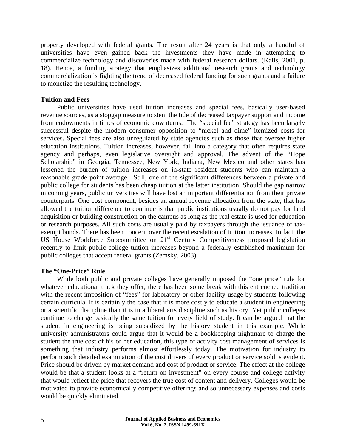property developed with federal grants. The result after 24 years is that only a handful of universities have even gained back the investments they have made in attempting to commercialize technology and discoveries made with federal research dollars. (Kalis, 2001, p. 18). Hence, a funding strategy that emphasizes additional research grants and technology commercialization is fighting the trend of decreased federal funding for such grants and a failure to monetize the resulting technology.

#### **Tuition and Fees**

Public universities have used tuition increases and special fees, basically user-based revenue sources, as a stopgap measure to stem the tide of decreased taxpayer support and income from endowments in times of economic downturns. The "special fee" strategy has been largely successful despite the modern consumer opposition to "nickel and dime" itemized costs for services. Special fees are also unregulated by state agencies such as those that oversee higher education institutions. Tuition increases, however, fall into a category that often requires state agency and perhaps, even legislative oversight and approval. The advent of the "Hope Scholarship" in Georgia, Tennessee, New York, Indiana, New Mexico and other states has lessened the burden of tuition increases on in-state resident students who can maintain a reasonable grade point average. Still, one of the significant differences between a private and public college for students has been cheap tuition at the latter institution. Should the gap narrow in coming years, public universities will have lost an important differentiation from their private counterparts. One cost component, besides an annual revenue allocation from the state, that has allowed the tuition difference to continue is that public institutions usually do not pay for land acquisition or building construction on the campus as long as the real estate is used for education or research purposes. All such costs are usually paid by taxpayers through the issuance of taxexempt bonds. There has been concern over the recent escalation of tuition increases. In fact, the US House Workforce Subcommittee on 21<sup>st</sup> Century Competitiveness proposed legislation recently to limit public college tuition increases beyond a federally established maximum for public colleges that accept federal grants (Zemsky, 2003).

#### **The "One-Price" Rule**

While both public and private colleges have generally imposed the "one price" rule for whatever educational track they offer, there has been some break with this entrenched tradition with the recent imposition of "fees" for laboratory or other facility usage by students following certain curricula. It is certainly the case that it is more costly to educate a student in engineering or a scientific discipline than it is in a liberal arts discipline such as history. Yet public colleges continue to charge basically the same tuition for every field of study. It can be argued that the student in engineering is being subsidized by the history student in this example. While university administrators could argue that it would be a bookkeeping nightmare to charge the student the true cost of his or her education, this type of activity cost management of services is something that industry performs almost effortlessly today. The motivation for industry to perform such detailed examination of the cost drivers of every product or service sold is evident. Price should be driven by market demand and cost of product or service. The effect at the college would be that a student looks at a "return on investment" on every course and college activity that would reflect the price that recovers the true cost of content and delivery. Colleges would be motivated to provide economically competitive offerings and so unnecessary expenses and costs would be quickly eliminated.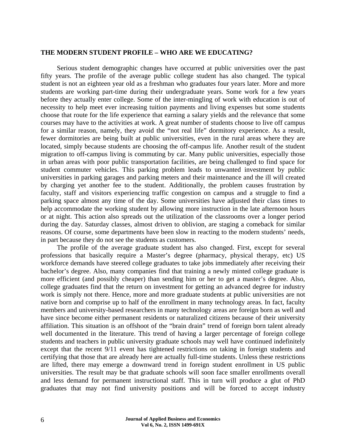#### **THE MODERN STUDENT PROFILE – WHO ARE WE EDUCATING?**

Serious student demographic changes have occurred at public universities over the past fifty years. The profile of the average public college student has also changed. The typical student is not an eighteen year old as a freshman who graduates four years later. More and more students are working part-time during their undergraduate years. Some work for a few years before they actually enter college. Some of the inter-mingling of work with education is out of necessity to help meet ever increasing tuition payments and living expenses but some students choose that route for the life experience that earning a salary yields and the relevance that some courses may have to the activities at work. A great number of students choose to live off campus for a similar reason, namely, they avoid the "not real life" dormitory experience. As a result, fewer dormitories are being built at public universities, even in the rural areas where they are located, simply because students are choosing the off-campus life. Another result of the student migration to off-campus living is commuting by car. Many public universities, especially those in urban areas with poor public transportation facilities, are being challenged to find space for student commuter vehicles. This parking problem leads to unwanted investment by public universities in parking garages and parking meters and their maintenance and the ill will created by charging yet another fee to the student. Additionally, the problem causes frustration by faculty, staff and visitors experiencing traffic congestion on campus and a struggle to find a parking space almost any time of the day. Some universities have adjusted their class times to help accommodate the working student by allowing more instruction in the late afternoon hours or at night. This action also spreads out the utilization of the classrooms over a longer period during the day. Saturday classes, almost driven to oblivion, are staging a comeback for similar reasons. Of course, some departments have been slow in reacting to the modern students' needs, in part because they do not see the students as customers.

The profile of the average graduate student has also changed. First, except for several professions that basically require a Master's degree (pharmacy, physical therapy, etc) US workforce demands have steered college graduates to take jobs immediately after receiving their bachelor's degree. Also, many companies find that training a newly minted college graduate is more efficient (and possibly cheaper) than sending him or her to get a master's degree. Also, college graduates find that the return on investment for getting an advanced degree for industry work is simply not there. Hence, more and more graduate students at public universities are not native born and comprise up to half of the enrollment in many technology areas. In fact, faculty members and university-based researchers in many technology areas are foreign born as well and have since become either permanent residents or naturalized citizens because of their university affiliation. This situation is an offshoot of the "brain drain" trend of foreign born talent already well documented in the literature. This trend of having a larger percentage of foreign college students and teachers in public university graduate schools may well have continued indefinitely except that the recent 9/11 event has tightened restrictions on taking in foreign students and certifying that those that are already here are actually full-time students. Unless these restrictions are lifted, there may emerge a downward trend in foreign student enrollment in US public universities. The result may be that graduate schools will soon face smaller enrollments overall and less demand for permanent instructional staff. This in turn will produce a glut of PhD graduates that may not find university positions and will be forced to accept industry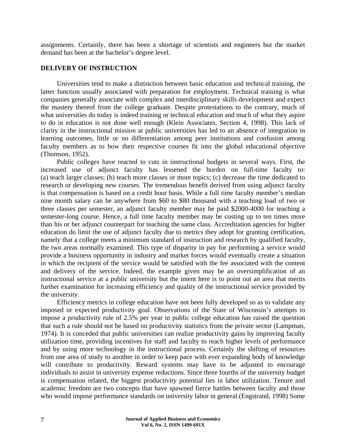assignments. Certainly, there has been a shortage of scientists and engineers but the market demand has been at the bachelor's degree level.

#### **DELIVERY OF INSTRUCTION**

Universities tend to make a distinction between basic education and technical training, the latter function usually associated with preparation for employment. Technical training is what companies generally associate with complex and interdisciplinary skills development and expect the mastery thereof from the college graduate. Despite protestations to the contrary, much of what universities do today is indeed training or technical education and much of what they aspire to do in education is not done well enough (Klein Associates, Section 4, 1998). This lack of clarity in the instructional mission at public universities has led to an absence of integration in learning outcomes, little or no differentiation among peer institutions and confusion among faculty members as to how their respective courses fit into the global educational objective (Thomson, 1952).

Public colleges have reacted to cuts in instructional budgets in several ways. First, the increased use of adjunct faculty has lessened the burden on full-time faculty to: (a) teach larger classes; (b) teach more classes or more topics; (c) decrease the time dedicated to research or developing new courses. The tremendous benefit derived from using adjunct faculty is that compensation is based on a credit hour basis. While a full time faculty member's median nine month salary can be anywhere from \$60 to \$80 thousand with a teaching load of two or three classes per semester, an adjunct faculty member may be paid \$2000-4000 for teaching a semester-long course. Hence, a full time faculty member may be costing up to ten times more than his or her adjunct counterpart for teaching the same class. Accreditation agencies for higher education do limit the use of adjunct faculty due to metrics they adopt for granting certification, namely that a college meets a minimum standard of instruction and research by qualified faculty, the two areas normally examined. This type of disparity in pay for performing a service would provide a business opportunity in industry and market forces would eventually create a situation in which the recipient of the service would be satisfied with the fee associated with the content and delivery of the service. Indeed, the example given may be an oversimplification of an instructional service at a public university but the intent here is to point out an area that merits further examination for increasing efficiency and quality of the instructional service provided by the university.

Efficiency metrics in college education have not been fully developed so as to validate any imposed or expected productivity goal. Observations of the State of Wisconsin's attempts to impose a productivity rule of 2.5% per year in public college education has raised the question that such a rule should not be based on productivity statistics from the private sector (Lampman, 1974). It is conceded that public universities can realize productivity gains by improving faculty utilization time, providing incentives for staff and faculty to reach higher levels of performance and by using more technology in the instructional process. Certainly the shifting of resources from one area of study to another in order to keep pace with ever expanding body of knowledge will contribute to productivity. Reward systems may have to be adjusted to encourage individuals to assist in university expense reductions. Since three fourths of the university budget is compensation related, the biggest productivity potential lies in labor utilization. Tenure and academic freedom are two concepts that have spawned fierce battles between faculty and those who would impose performance standards on university labor in general.(Engstrand, 1998) Some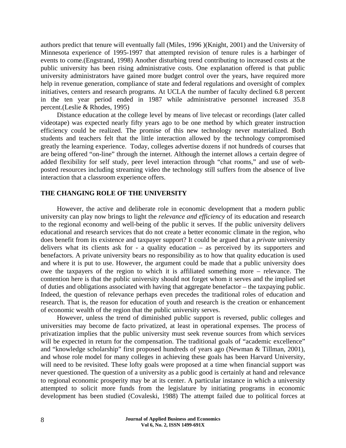authors predict that tenure will eventually fall (Miles, 1996 )(Knight, 2001) and the University of Minnesota experience of 1995-1997 that attempted revision of tenure rules is a harbinger of events to come.(Engstrand, 1998) Another disturbing trend contributing to increased costs at the public university has been rising administrative costs. One explanation offered is that public university administrators have gained more budget control over the years, have required more help in revenue generation, compliance of state and federal regulations and oversight of complex initiatives, centers and research programs. At UCLA the number of faculty declined 6.8 percent in the ten year period ended in 1987 while administrative personnel increased 35.8 percent.(Leslie & Rhodes, 1995)

Distance education at the college level by means of live telecast or recordings (later called videotape) was expected nearly fifty years ago to be one method by which greater instruction efficiency could be realized. The promise of this new technology never materialized. Both students and teachers felt that the little interaction allowed by the technology compromised greatly the learning experience. Today, colleges advertise dozens if not hundreds of courses that are being offered "on-line" through the internet. Although the internet allows a certain degree of added flexibility for self study, peer level interaction through "chat rooms," and use of webposted resources including streaming video the technology still suffers from the absence of live interaction that a classroom experience offers.

#### **THE CHANGING ROLE OF THE UNIVERSITY**

However, the active and deliberate role in economic development that a modern public university can play now brings to light the *relevance and efficiency* of its education and research to the regional economy and well-being of the public it serves. If the public university delivers educational and research services that do not create a better economic climate in the region, who does benefit from its existence and taxpayer support? It could be argued that a *private* university delivers what its clients ask for - a quality education – as perceived by its supporters and benefactors. A private university bears no responsibility as to how that quality education is used and where it is put to use. However, the argument could be made that a public university does owe the taxpayers of the region to which it is affiliated something more – relevance. The contention here is that the public university should not forget whom it serves and the implied set of duties and obligations associated with having that aggregate benefactor – the taxpaying public. Indeed, the question of relevance perhaps even precedes the traditional roles of education and research. That is, the reason for education of youth and research is the creation or enhancement of economic wealth of the region that the public university serves.

However, unless the trend of diminished public support is reversed, public colleges and universities may become de facto privatized, at least in operational expenses. The process of privatization implies that the public university must seek revenue sources from which services will be expected in return for the compensation. The traditional goals of "academic excellence" and "knowledge scholarship" first proposed hundreds of years ago (Newman & Tillman, 2001), and whose role model for many colleges in achieving these goals has been Harvard University, will need to be revisited. These lofty goals were proposed at a time when financial support was never questioned. The question of a university as a public good is certainly at hand and relevance to regional economic prosperity may be at its center. A particular instance in which a university attempted to solicit more funds from the legislature by initiating programs in economic development has been studied (Covaleski, 1988) The attempt failed due to political forces at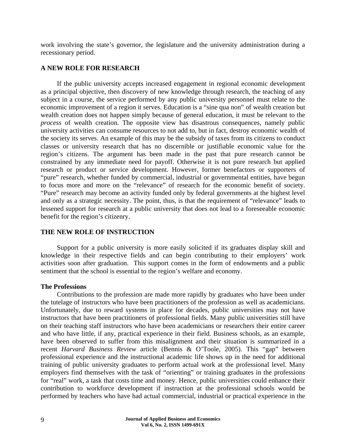work involving the state's governor, the legislature and the university administration during a recessionary period.

## **A NEW ROLE FOR RESEARCH**

If the public university accepts increased engagement in regional economic development as a principal objective, then discovery of new knowledge through research, the teaching of any subject in a course, the service performed by any public university personnel must relate to the economic improvement of a region it serves. Education is a "sine qua non" of wealth creation but wealth creation does not happen simply because of general education, it must be relevant to the *process* of wealth creation. The opposite view has disastrous consequences, namely public university activities can consume resources to not add to, but in fact, destroy economic wealth of the society its serves. An example of this may be the subsidy of taxes from its citizens to conduct classes or university research that has no discernible or justifiable economic value for the region's citizens. The argument has been made in the past that pure research cannot be constrained by any immediate need for payoff. Otherwise it is not pure research but applied research or product or service development. However, former benefactors or supporters of "pure" research, whether funded by commercial, industrial or governmental entities, have begun to focus more and more on the "relevance" of research for the economic benefit of society. "Pure" research may become an activity funded only by federal governments at the highest level and only as a strategic necessity. The point, thus, is that the requirement of "relevance" leads to lessened support for research at a public university that does not lead to a foreseeable economic benefit for the region's citizenry.

# **THE NEW ROLE OF INSTRUCTION**

Support for a public university is more easily solicited if its graduates display skill and knowledge in their respective fields and can begin contributing to their employers' work activities soon after graduation. This support comes in the form of endowments and a public sentiment that the school is essential to the region's welfare and economy.

#### **The Professions**

Contributions to the profession are made more rapidly by graduates who have been under the tutelage of instructors who have been practitioners of the profession as well as academicians. Unfortunately, due to reward systems in place for decades, public universities may not have instructors that have been practitioners of professional fields. Many public universities still have on their teaching staff instructors who have been academicians or researchers their entire career and who have little, if any, practical experience in their field. Business schools, as an example, have been observed to suffer from this misalignment and their situation is summarized in a recent *Harvard Business Review* article (Bennis & O'Toole, 2005). This "gap" between professional experience and the instructional academic life shows up in the need for additional training of public university graduates to perform actual work at the professional level. Many employers find themselves with the task of "orienting" or training graduates in the professions for "real" work, a task that costs time and money. Hence, public universities could enhance their contribution to workforce development if instruction at the professional schools would be performed by teachers who have had actual commercial, industrial or practical experience in the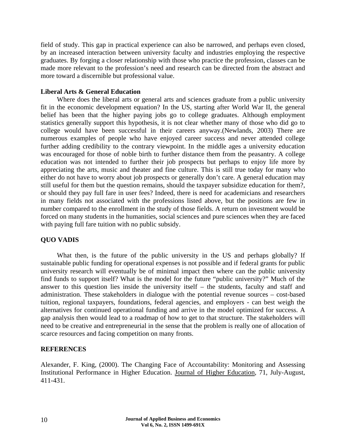field of study. This gap in practical experience can also be narrowed, and perhaps even closed, by an increased interaction between university faculty and industries employing the respective graduates. By forging a closer relationship with those who practice the profession, classes can be made more relevant to the profession's need and research can be directed from the abstract and more toward a discernible but professional value.

### **Liberal Arts & General Education**

Where does the liberal arts or general arts and sciences graduate from a public university fit in the economic development equation? In the US, starting after World War II, the general belief has been that the higher paying jobs go to college graduates. Although employment statistics generally support this hypothesis, it is not clear whether many of those who did go to college would have been successful in their careers anyway.(Newlands, 2003) There are numerous examples of people who have enjoyed career success and never attended college further adding credibility to the contrary viewpoint. In the middle ages a university education was encouraged for those of noble birth to further distance them from the peasantry. A college education was not intended to further their job prospects but perhaps to enjoy life more by appreciating the arts, music and theater and fine culture. This is still true today for many who either do not have to worry about job prospects or generally don't care. A general education may still useful for them but the question remains, should the taxpayer subsidize education for them?, or should they pay full fare in user fees? Indeed, there is need for academicians and researchers in many fields not associated with the professions listed above, but the positions are few in number compared to the enrollment in the study of those fields. A return on investment would be forced on many students in the humanities, social sciences and pure sciences when they are faced with paying full fare tuition with no public subsidy.

# **QUO VADIS**

What then, is the future of the public university in the US and perhaps globally? If sustainable public funding for operational expenses is not possible and if federal grants for public university research will eventually be of minimal impact then where can the public university find funds to support itself? What is the model for the future "public university?" Much of the answer to this question lies inside the university itself – the students, faculty and staff and administration. These stakeholders in dialogue with the potential revenue sources – cost-based tuition, regional taxpayers, foundations, federal agencies, and employers - can best weigh the alternatives for continued operational funding and arrive in the model optimized for success. A gap analysis then would lead to a roadmap of how to get to that structure. The stakeholders will need to be creative and entrepreneurial in the sense that the problem is really one of allocation of scarce resources and facing competition on many fronts.

# **REFERENCES**

Alexander, F. King, (2000). The Changing Face of Accountability: Monitoring and Assessing Institutional Performance in Higher Education. Journal of Higher Education, 71, July-August, 411-431.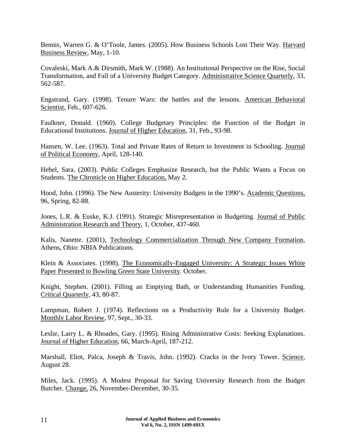Bennis, Warren G. & O'Toole, James. (2005). How Business Schools Lost Their Way. Harvard Business Review, May, 1-10.

Covaleski, Mark A.& Dirsmith, Mark W. (1988). An Institutional Perspective on the Rise, Social Transformation, and Fall of a University Budget Category. Administrative Science Quarterly, 33, 562-587.

Engstrand, Gary. (1998). Tenure Wars: the battles and the lessons. American Behavioral Scientist, Feb., 607-626.

Faulkner, Donald. (1960). College Budgetary Principles: the Function of the Budget in Educational Institutions. Journal of Higher Education, 31, Feb., 93-98.

Hansen, W. Lee. (1963). Total and Private Rates of Return to Investment in Schooling. Journal of Political Economy, April, 128-140.

Hebel, Sara. (2003). Public Colleges Emphasize Research, but the Public Wants a Focus on Students. The Chronicle on Higher Education, May 2.

Hood, John. (1996). The New Austerity: University Budgets in the 1990's. Academic Questions, 96, Spring, 82-88.

Jones, L.R. & Euske, K.J. (1991). Strategic Misrepresentation in Budgeting. Journal of Public Administration Research and Theory, 1, October, 437-460.

Kalis, Nanette. (2001), Technology Commercialization Through New Company Formation, Athens, Ohio: NBIA Publications.

Klein & Associates. (1998). The Economically-Engaged University: A Strategic Issues White Paper Presented to Bowling Green State University. October.

Knight, Stephen. (2001). Filling an Emptying Bath, or Understanding Humanities Funding. Critical Quarterly, 43, 80-87.

Lampman, Robert J. (1974). Reflections on a Productivity Rule for a University Budget. Monthly Labor Review, 97, Sept., 30-33.

Leslie, Larry L. & Rhoades, Gary. (1995). Rising Administrative Costs: Seeking Explanations. Journal of Higher Education, 66, March-April, 187-212.

Marshall, Eliot, Palca, Joseph & Travis, John. (1992). Cracks in the Ivory Tower. Science, August 28.

Miles, Jack. (1995). A Modest Proposal for Saving University Research from the Budget Butcher. Change, 26, November-December, 30-35.